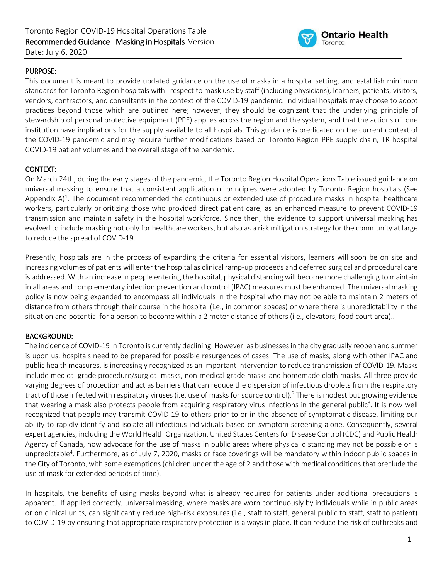

## PURPOSE:

This document is meant to provide updated guidance on the use of masks in a hospital setting, and establish minimum standards for Toronto Region hospitals with respect to mask use by staff (including physicians), learners, patients, visitors, vendors, contractors, and consultants in the context of the COVID-19 pandemic. Individual hospitals may choose to adopt practices beyond those which are outlined here; however, they should be cognizant that the underlying principle of stewardship of personal protective equipment (PPE) applies across the region and the system, and that the actions of one institution have implications for the supply available to all hospitals. This guidance is predicated on the current context of the COVID-19 pandemic and may require further modifications based on Toronto Region PPE supply chain, TR hospital COVID-19 patient volumes and the overall stage of the pandemic.

#### CONTEXT:

On March 24th, during the early stages of the pandemic, the Toronto Region Hospital Operations Table issued guidance on universal masking to ensure that a consistent application of principles were adopted by Toronto Region hospitals (See Appendix  $A$ <sup>1</sup>. The document recommended the continuous or extended use of procedure masks in hospital healthcare workers, particularly prioritizing those who provided direct patient care, as an enhanced measure to prevent COVID-19 transmission and maintain safety in the hospital workforce. Since then, the evidence to support universal masking has evolved to include masking not only for healthcare workers, but also as a risk mitigation strategy for the community at large to reduce the spread of COVID-19.

Presently, hospitals are in the process of expanding the criteria for essential visitors, learners will soon be on site and increasing volumes of patients will enter the hospital as clinical ramp-up proceeds and deferred surgical and procedural care is addressed. With an increase in people entering the hospital, physical distancing will become more challenging to maintain in all areas and complementary infection prevention and control (IPAC) measures must be enhanced. The universal masking policy is now being expanded to encompass all individuals in the hospital who may not be able to maintain 2 meters of distance from others through their course in the hospital (i.e., in common spaces) or where there is unpredictability in the situation and potential for a person to become within a 2 meter distance of others (i.e., elevators, food court area)..

#### BACKGROUND:

The incidence of COVID-19 in Toronto is currently declining. However, as businesses in the city gradually reopen and summer is upon us, hospitals need to be prepared for possible resurgences of cases. The use of masks, along with other IPAC and public health measures, is increasingly recognized as an important intervention to reduce transmission of COVID-19. Masks include medical grade procedure/surgical masks, non-medical grade masks and homemade cloth masks. All three provide varying degrees of protection and act as barriers that can reduce the dispersion of infectious droplets from the respiratory tract of those infected with respiratory viruses (i.e. use of masks for source control). <sup>2</sup> There is modest but growing evidence that wearing a mask also protects people from acquiring respiratory virus infections in the general public<sup>3</sup>. It is now well recognized that people may transmit COVID-19 to others prior to or in the absence of symptomatic disease, limiting our ability to rapidly identify and isolate all infectious individuals based on symptom screening alone. Consequently, several expert agencies, including the World Health Organization, United States Centersfor Disease Control (CDC) and Public Health Agency of Canada, now advocate for the use of masks in public areas where physical distancing may not be possible or is unpredictable<sup>4</sup>. Furthermore, as of July 7, 2020, masks or face coverings will be mandatory within indoor public spaces in the City of Toronto, with some exemptions (children under the age of 2 and those with medical conditions that preclude the use of mask for extended periods of time).

In hospitals, the benefits of using masks beyond what is already required for patients under additional precautions is apparent. If applied correctly, universal masking, where masks are worn continuously by individuals while in public areas or on clinical units, can significantly reduce high-risk exposures (i.e., staff to staff, general public to staff, staff to patient) to COVID-19 by ensuring that appropriate respiratory protection is always in place. It can reduce the risk of outbreaks and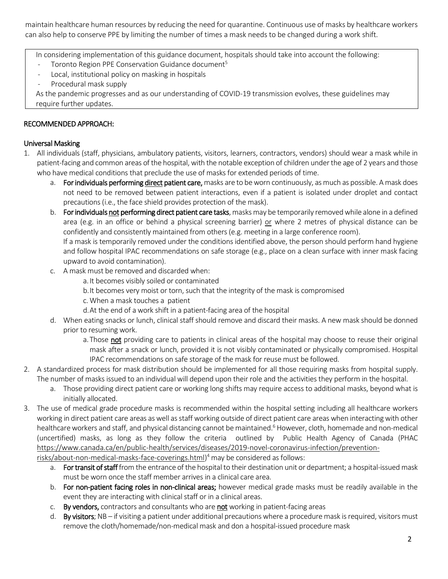maintain healthcare human resources by reducing the need for quarantine. Continuous use of masks by healthcare workers can also help to conserve PPE by limiting the number of times a mask needs to be changed during a work shift.

In considering implementation of this guidance document, hospitals should take into account the following:

- Toronto Region PPE Conservation Guidance document<sup>5</sup>
- Local, institutional policy on masking in hospitals
- Procedural mask supply

As the pandemic progresses and as our understanding of COVID-19 transmission evolves, these guidelines may require further updates.

# RECOMMENDED APPROACH:

## Universal Masking

- 1. All individuals (staff, physicians, ambulatory patients, visitors, learners, contractors, vendors) should wear a mask while in patient-facing and common areas of the hospital, with the notable exception of children under the age of 2 years and those who have medical conditions that preclude the use of masks for extended periods of time.
	- a. For individuals performing direct patient care, masks are to be worn continuously, as much as possible. A mask does not need to be removed between patient interactions, even if a patient is isolated under droplet and contact precautions (i.e., the face shield provides protection of the mask).
	- b. For individuals not performing direct patient care tasks, masks may be temporarily removed while alone in a defined area (e.g. in an office or behind a physical screening barrier) or where 2 metres of physical distance can be confidently and consistently maintained from others(e.g. meeting in a large conference room). If a mask is temporarily removed under the conditions identified above, the person should perform hand hygiene

and follow hospital IPAC recommendations on safe storage (e.g., place on a clean surface with inner mask facing upward to avoid contamination).

- c. A mask must be removed and discarded when:
	- a.It becomes visibly soiled or contaminated
	- b.It becomes very moist or torn, such that the integrity of the mask is compromised
	- c. When a mask touches a patient
	- d.At the end of a work shift in a patient-facing area of the hospital
- d. When eating snacks or lunch, clinical staff should remove and discard their masks. A new mask should be donned prior to resuming work.
	- a. Those not providing care to patients in clinical areas of the hospital may choose to reuse their original mask after a snack or lunch, provided it is not visibly contaminated or physically compromised. Hospital IPAC recommendations on safe storage of the mask for reuse must be followed.
- 2. A standardized process for mask distribution should be implemented for all those requiring masks from hospital supply. The number of masks issued to an individual will depend upon their role and the activities they perform in the hospital.
	- a. Those providing direct patient care or working long shifts may require access to additional masks, beyond what is initially allocated.
- 3. The use of medical grade procedure masks is recommended within the hospital setting including all healthcare workers working in direct patient care areas as well as staff working outside of direct patient care areas when interacting with other healthcare workers and staff, and physical distancing cannot be maintained. <sup>6</sup> However, cloth, homemade and non-medical (uncertified) masks, as long as they follow the criteria outlined by Public Health Agency of Canada (PHAC [https://www.canada.ca/en/public-health/services/diseases/2019-novel-coronavirus-infection/prevention-](https://www.canada.ca/en/public-health/services/diseases/2019-novel-coronavirus-infection/prevention-risks/about-non-medical-masks-face-coverings.html)

[risks/about-non-medical-masks-face-coverings.html\)](https://www.canada.ca/en/public-health/services/diseases/2019-novel-coronavirus-infection/prevention-risks/about-non-medical-masks-face-coverings.html) <sup>4</sup> may be considered as follows:

- a. For transit of staff from the entrance of the hospital to their destination unit or department; a hospital-issued mask must be worn once the staff member arrives in a clinical care area.
- b. For non-patient facing roles in non-clinical areas; however medical grade masks must be readily available in the event they are interacting with clinical staff or in a clinical areas.
- c. By vendors, contractors and consultants who are not working in patient-facing areas
- d. By visitors;  $NB$  if visiting a patient under additional precautions where a procedure mask is required, visitors must remove the cloth/homemade/non-medical mask and don a hospital-issued procedure mask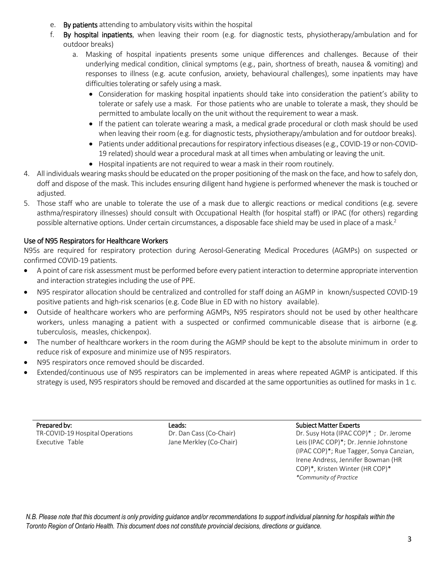- e. By patients attending to ambulatory visits within the hospital
- f. By hospital inpatients, when leaving their room (e.g. for diagnostic tests, physiotherapy/ambulation and for outdoor breaks)
	- a. Masking of hospital inpatients presents some unique differences and challenges. Because of their underlying medical condition, clinical symptoms (e.g., pain, shortness of breath, nausea & vomiting) and responses to illness (e.g. acute confusion, anxiety, behavioural challenges), some inpatients may have difficulties tolerating or safely using a mask.
		- Consideration for masking hospital inpatients should take into consideration the patient's ability to tolerate or safely use a mask. For those patients who are unable to tolerate a mask, they should be permitted to ambulate locally on the unit without the requirement to wear a mask.
		- If the patient can tolerate wearing a mask, a medical grade procedural or cloth mask should be used when leaving their room (e.g. for diagnostic tests, physiotherapy/ambulation and for outdoor breaks).
		- Patients under additional precautions for respiratory infectious diseases (e.g., COVID-19 or non-COVID-19 related) should wear a procedural mask at all times when ambulating or leaving the unit.
		- Hospital inpatients are not required to wear a mask in their room routinely.
- 4. All individuals wearing masks should be educated on the proper positioning of the mask on the face, and how to safely don, doff and dispose of the mask. This includes ensuring diligent hand hygiene is performed whenever the mask is touched or adjusted.
- 5. Those staff who are unable to tolerate the use of a mask due to allergic reactions or medical conditions (e.g. severe asthma/respiratory illnesses) should consult with Occupational Health (for hospital staff) or IPAC (for others) regarding possible alternative options. Under certain circumstances, a disposable face shield may be used in place of a mask.<sup>2</sup>

# Use of N95 Respirators for Healthcare Workers

N95s are required for respiratory protection during Aerosol-Generating Medical Procedures (AGMPs) on suspected or confirmed COVID-19 patients.

- A point of care risk assessment must be performed before every patient interaction to determine appropriate intervention and interaction strategies including the use of PPE.
- N95 respirator allocation should be centralized and controlled for staff doing an AGMP in known/suspected COVID-19 positive patients and high-risk scenarios (e.g. Code Blue in ED with no history available).
- Outside of healthcare workers who are performing AGMPs, N95 respirators should not be used by other healthcare workers, unless managing a patient with a suspected or confirmed communicable disease that is airborne (e.g. tuberculosis, measles, chickenpox).
- The number of healthcare workers in the room during the AGMP should be kept to the absolute minimum in order to reduce risk of exposure and minimize use of N95 respirators.
- N95 respirators once removed should be discarded.
- Extended/continuous use of N95 respirators can be implemented in areas where repeated AGMP is anticipated. If this strategy is used, N95 respirators should be removed and discarded at the same opportunities as outlined for masks in 1 c.

Prepared by: The contract of the contract Leads: Subject Matter Experts of the Subject Matter Experts TR-COVID-19 Hospital Operations Executive Table

Dr. Dan Cass(Co-Chair) Jane Merkley (Co-Chair)

Dr. Susy Hota (IPAC COP)\* ; Dr. Jerome Leis(IPAC COP)\*; Dr. Jennie Johnstone (IPAC COP)\*; Rue Tagger, Sonya Canzian, Irene Andress, Jennifer Bowman (HR COP)\*, Kristen Winter (HR COP)\* *\*Community of Practice*

N.B. Please note that this document is only providing guidance and/or recommendations to support individual planning for hospitals within the *Toronto Region of Ontario Health. This document does not constitute provincial decisions, directions or guidance.*